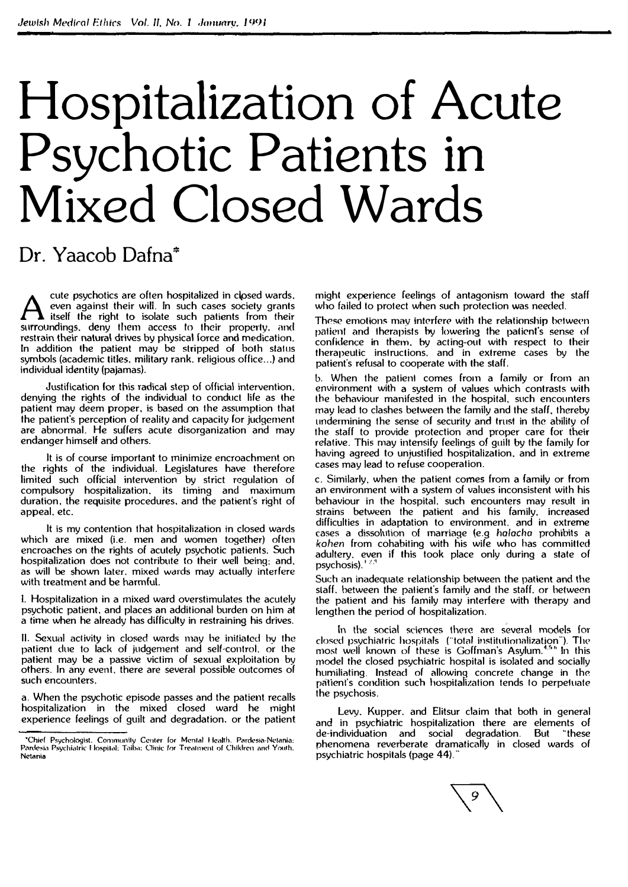# Hospitalization of Acute Psychotic Patients in Mixed Closed Wards

# Dr. Yaacob Dafna\*

Let a psychotics are often hospitalized in closed wards, even against their will. In such cases society grants itself the right to isolate such patients from their surroundings, deny them access to their property, and cute psychotics are often hospitalized in closed wards. even against their will. In such cases sociely grants itself the right to isolate such patients from their restrain their natura\ drives by physical force and medication. In addition the patient may be stripped of both sla1us symbols (academic titles, military rank, religious office...) and individual identity (pajamas).

Justification for this radical step of official intervention. denying the rights of the individual to conduct life as the patient may deem proper, is based on the assumption that the patient's perception of reality and capacity for judgement are abnormal. He suffers acute disorganization and may endanger himself and others.

It is of course important to minimize encroachment on the rights of the individual. Legislatures have therefore limited such official intervention by strict regulation of compulsory hospitalization. its timing and maximum duration, the requisite procedures, and the patient's right of appeal, etc.

It is my contention that hospitalization in closed wards which are mixed (i.e. men and women together) often encroaches on the rights of acutely psychotic patients. Such hospitalization does not contribute to their well being: and. as will be shown later. mixed wards may actually interfere with treatment and be harmful.

I. Hospitalization in a mixed ward overstimulates the acutely psychotic patient. and places an additional burden on him at a time when he already has difficulty in restraining his drives.

JI. Sexual activity in closed wards may be initiated by the patient due to lack of judgement and self-control, or the patient may be a passive victim of sexual exploitation by others. In any event, there are several possible outcomes of such encounters.

a. When the psychotic episode passes and the patient recalls hospitalization in the mixed closed ward he might experience feelings of guilt and degradation. or the patient might experience feelings of antagonism toward the staff who failed to protect when such protection was needed.

These emotions may interfere with the relationship between palienl and therapists by lowering lhe patient's sense of confidence in them. by acting-out with respect to their therapeutic inslruclions. and in extreme cases by the patient's refusal to cooperate with the staff.

b. When the patient comes from a family or from an environment with a system of values which contrasts with the behaviour manifested in the hospital, such encounters may lead to clashes between the family and the staff, thereby undermining the sense of security and trust in the ability of the staff to provide protection and proper care for their relative. This may intensify feelings of guilt by the family for having agreed **to** unjustified hospitalization. and **in** extreme cases may lead to refuse cooperation.

c. Similarly. when the patient comes from a family or from an environment with a system of values inconsistent with his behaviour in the hospital. such encounters may result in strains between the patient and his family. increased difficulties in adaptation to environment. and in extreme cases a dissolution of marriage (e.g halacha prohibits a *kohen* from cohabiting with his wife who has committed adultery, even if this took place only during a state of psychosis).' *<sup>1</sup>*'

Such an inadequate relationship between the patient and the staff. between the patient's family and the staff, or between the patient and his family may interfere with therapy and lengthen the period of hospitalization.

In the social sciences there are several models for closed psychiatric hospitals ("total institutionalization"). The most well known of these is Goffman's Asylum.<sup>4,56</sup> in this model the closed psychiatric hospital is isolated and socially humiliating. Instead of allowing concrete change in the patlenl° s condition such hospitalization tends lo perpetuate the psychosis.

Levy. Kupper. and Elitsur claim that both in general and in psychiatric hospitalization there are elements of de-individuation and social degradation. But '"these phenomena reverberate dramatically in closed wards of psychiatric hospitals (page **44).** ··



<sup>-&</sup>quot;Chief Psychologist, Communily Center for Mental Health. Pardesia-Netania;<br>Pardesia Psychiatric Hospital; Taiba; Clinic for Treatment of ChikIren and Youth. **Nctania**